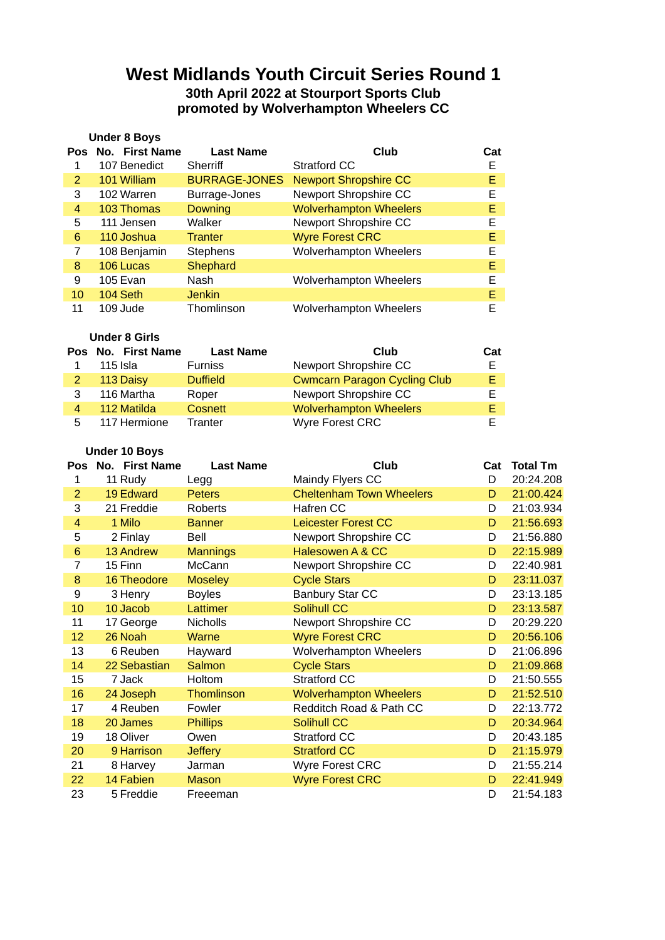# **West Midlands Youth Circuit Series Round 1 30th April 2022 at Stourport Sports Club promoted by Wolverhampton Wheelers CC**

|                | <b>Under 8 Boys</b> |                      |                               |     |
|----------------|---------------------|----------------------|-------------------------------|-----|
|                | Pos No. First Name  | <b>Last Name</b>     | Club                          | Cat |
| 1              | 107 Benedict        | Sherriff             | Stratford CC                  | F   |
| $\overline{2}$ | 101 William         | <b>BURRAGE-JONES</b> | <b>Newport Shropshire CC</b>  | E.  |
| 3              | 102 Warren          | Burrage-Jones        | Newport Shropshire CC         | Е   |
| 4              | 103 Thomas          | <b>Downing</b>       | <b>Wolverhampton Wheelers</b> | Е   |
| 5              | 111 Jensen          | Walker               | Newport Shropshire CC         | F   |
| 6              | 110 Joshua          | <b>Tranter</b>       | <b>Wyre Forest CRC</b>        | F   |
| 7              | 108 Benjamin        | Stephens             | <b>Wolverhampton Wheelers</b> | F   |
| 8              | 106 Lucas           | Shephard             |                               | F   |
| 9              | 105 Evan            | Nash                 | <b>Wolverhampton Wheelers</b> | F   |
| 10             | 104 Seth            | <b>Jenkin</b>        |                               | F   |
| 11             | 109 Jude            | Thomlinson           | <b>Wolverhampton Wheelers</b> | F   |
|                |                     |                      |                               |     |

### **Under 8 Girls**

|   | Pos No. First Name | <b>Last Name</b> | Club                                | Cat |
|---|--------------------|------------------|-------------------------------------|-----|
|   | $115$ Isla         | <b>Furniss</b>   | Newport Shropshire CC               |     |
|   | 113 Daisy          | <b>Duffield</b>  | <b>Cwmcarn Paragon Cycling Club</b> |     |
| 3 | 116 Martha         | Roper            | Newport Shropshire CC               |     |
| 4 | 112 Matilda        | <b>Cosnett</b>   | <b>Wolverhampton Wheelers</b>       |     |
| 5 | 117 Hermione       | <b>Tranter</b>   | <b>Wyre Forest CRC</b>              |     |

#### **Under 10 Boys**

| <b>Pos</b>     | No. First Name | <b>Last Name</b>  | Club                            | Cat | <b>Total Tm</b> |
|----------------|----------------|-------------------|---------------------------------|-----|-----------------|
| 1              | 11 Rudy        | Legg              | Maindy Flyers CC                | D   | 20:24.208       |
| $\overline{2}$ | 19 Edward      | <b>Peters</b>     | <b>Cheltenham Town Wheelers</b> | D   | 21:00.424       |
| 3              | 21 Freddie     | Roberts           | Hafren CC                       | D   | 21:03.934       |
| $\overline{4}$ | 1 Milo         | <b>Banner</b>     | <b>Leicester Forest CC</b>      | D   | 21:56.693       |
| 5              | 2 Finlay       | Bell              | Newport Shropshire CC           | D   | 21:56.880       |
| $6\phantom{1}$ | 13 Andrew      | <b>Mannings</b>   | Halesowen A & CC                | D   | 22:15.989       |
| 7              | 15 Finn        | McCann            | Newport Shropshire CC           | D   | 22:40.981       |
| 8              | 16 Theodore    | <b>Moseley</b>    | <b>Cycle Stars</b>              | D   | 23:11.037       |
| 9              | 3 Henry        | <b>Boyles</b>     | <b>Banbury Star CC</b>          | D   | 23:13.185       |
| 10             | 10 Jacob       | <b>Lattimer</b>   | Solihull CC                     | D   | 23:13.587       |
| 11             | 17 George      | <b>Nicholls</b>   | Newport Shropshire CC           | D   | 20:29.220       |
| 12             | 26 Noah        | <b>Warne</b>      | <b>Wyre Forest CRC</b>          | D   | 20:56.106       |
| 13             | 6 Reuben       | Hayward           | Wolverhampton Wheelers          | D   | 21:06.896       |
| 14             | 22 Sebastian   | Salmon            | <b>Cycle Stars</b>              | D   | 21:09.868       |
| 15             | 7 Jack         | Holtom            | <b>Stratford CC</b>             | D   | 21:50.555       |
| 16             | 24 Joseph      | <b>Thomlinson</b> | <b>Wolverhampton Wheelers</b>   | D   | 21:52.510       |
| 17             | 4 Reuben       | Fowler            | Redditch Road & Path CC         | D   | 22:13.772       |
| 18             | 20 James       | <b>Phillips</b>   | Solihull CC                     | D   | 20:34.964       |
| 19             | 18 Oliver      | Owen              | <b>Stratford CC</b>             | D   | 20:43.185       |
| 20             | 9 Harrison     | <b>Jeffery</b>    | <b>Stratford CC</b>             | D   | 21:15.979       |
| 21             | 8 Harvey       | Jarman            | Wyre Forest CRC                 | D   | 21:55.214       |
| 22             | 14 Fabien      | <b>Mason</b>      | <b>Wyre Forest CRC</b>          | D   | 22:41.949       |
| 23             | 5 Freddie      | Freeeman          |                                 | D   | 21:54.183       |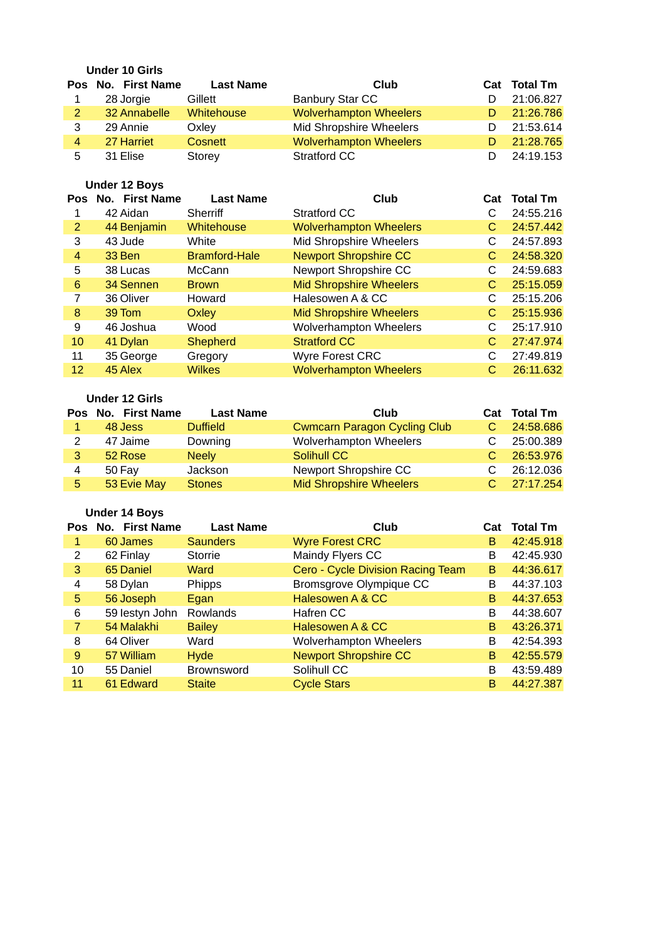### **Under 10 Girls**

|               | Pos No. First Name | <b>Last Name</b> | Club                          | Cat Total Tm |
|---------------|--------------------|------------------|-------------------------------|--------------|
|               | 28 Jorgie          | Gillett          | <b>Banbury Star CC</b>        | 21:06.827    |
| $\mathcal{P}$ | 32 Annabelle       | Whitehouse       | <b>Wolverhampton Wheelers</b> | 21:26.786    |
|               | 29 Annie           | Oxlev            | Mid Shropshire Wheelers       | 21:53.614    |
| 4             | 27 Harriet         | Cosnett          | <b>Wolverhampton Wheelers</b> | 21:28.765    |
| 5             | 31 Elise           | Storey           | Stratford CC                  | 24:19.153    |

## **Under 12 Boys**

|                | Pos No. First Name | <b>Last Name</b>     | Club                           | Cat | <b>Total Tm</b> |
|----------------|--------------------|----------------------|--------------------------------|-----|-----------------|
|                | 42 Aidan           | <b>Sherriff</b>      | Stratford CC                   |     | 24:55.216       |
| $\overline{2}$ | 44 Benjamin        | Whitehouse           | <b>Wolverhampton Wheelers</b>  | C   | 24:57.442       |
| 3              | 43 Jude            | White                | Mid Shropshire Wheelers        | С   | 24:57.893       |
| 4              | 33 Ben             | <b>Bramford-Hale</b> | <b>Newport Shropshire CC</b>   | С   | 24:58.320       |
| 5              | 38 Lucas           | McCann               | Newport Shropshire CC          | С   | 24:59.683       |
| 6              | 34 Sennen          | <b>Brown</b>         | <b>Mid Shropshire Wheelers</b> | С   | 25:15.059       |
| 7              | 36 Oliver          | Howard               | Halesowen A & CC               | C   | 25:15.206       |
| 8              | 39 Tom             | Oxley                | <b>Mid Shropshire Wheelers</b> | С   | 25:15.936       |
| 9              | 46 Joshua          | Wood                 | Wolverhampton Wheelers         | С   | 25:17.910       |
| 10             | 41 Dylan           | <b>Shepherd</b>      | <b>Stratford CC</b>            | С   | 27:47.974       |
| 11             | 35 George          | Gregory              | Wyre Forest CRC                | С   | 27:49.819       |
| 12             | 45 Alex            | <b>Wilkes</b>        | <b>Wolverhampton Wheelers</b>  | С   | 26:11.632       |

### **Under 12 Girls**

|    | Pos No. First Name | <b>Last Name</b> | Club                                | Cat | <b>Total Tm</b> |
|----|--------------------|------------------|-------------------------------------|-----|-----------------|
|    | 48 Jess            | <b>Duffield</b>  | <b>Cwmcarn Paragon Cycling Club</b> |     | 24:58.686       |
|    | 47 Jaime           | Downing          | Wolverhampton Wheelers              |     | 25:00.389       |
|    | 52 Rose            | <b>Neely</b>     | Solihull CC                         |     | 26:53.976       |
| 4  | 50 Fay             | Jackson          | Newport Shropshire CC               |     | 26:12.036       |
| 5. | 53 Evie May        | <b>Stones</b>    | <b>Mid Shropshire Wheelers</b>      |     | 27:17.254       |

# **Under 14 Boys**

| Pos | No. First Name | <b>Last Name</b>  | Club                              | Cat | <b>Total Tm</b> |
|-----|----------------|-------------------|-----------------------------------|-----|-----------------|
| 1   | 60 James       | <b>Saunders</b>   | <b>Wyre Forest CRC</b>            | В   | 42:45.918       |
| 2   | 62 Finlay      | <b>Storrie</b>    | Maindy Flyers CC                  | B   | 42:45.930       |
| 3   | 65 Daniel      | Ward              | Cero - Cycle Division Racing Team | B   | 44:36.617       |
| 4   | 58 Dylan       | Phipps            | Bromsgrove Olympique CC           | B   | 44:37.103       |
| 5   | 56 Joseph      | Egan              | Halesowen A & CC                  | B   | 44:37.653       |
| 6   | 59 lestyn John | Rowlands          | Hafren CC                         | B   | 44:38.607       |
| 7   | 54 Malakhi     | <b>Bailey</b>     | Halesowen A & CC                  | B   | 43:26.371       |
| 8   | 64 Oliver      | Ward              | Wolverhampton Wheelers            | B   | 42:54.393       |
| 9   | 57 William     | <b>Hyde</b>       | <b>Newport Shropshire CC</b>      | B   | 42:55.579       |
| 10  | 55 Daniel      | <b>Brownsword</b> | Solihull CC                       | B   | 43:59.489       |
| 11  | 61 Edward      | <b>Staite</b>     | <b>Cycle Stars</b>                | B   | 44:27.387       |